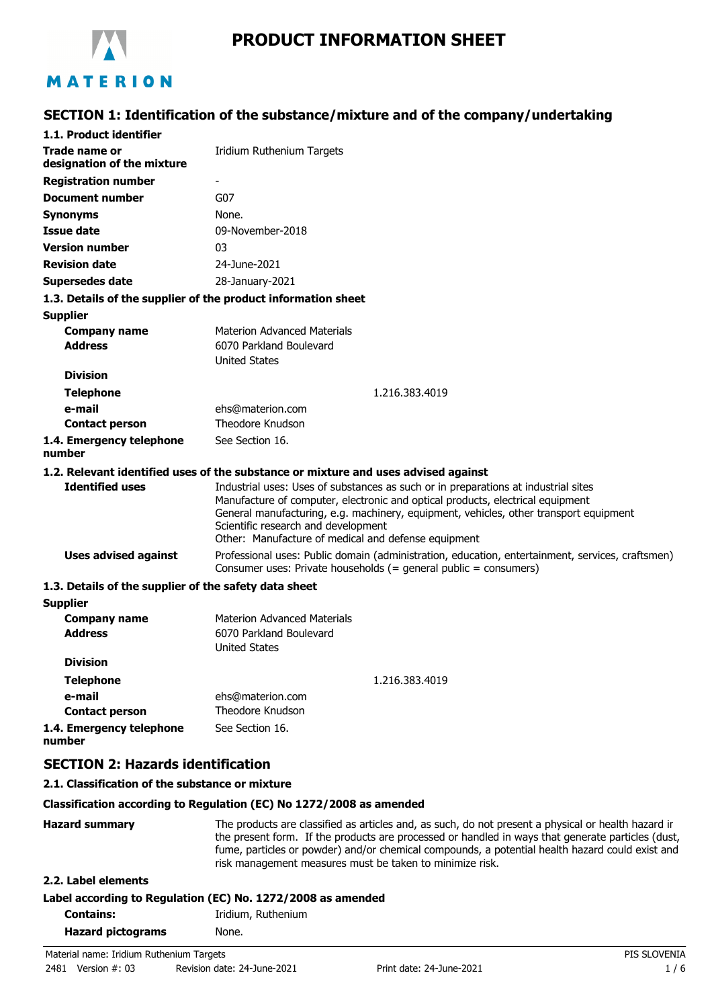

# **PRODUCT INFORMATION SHEET**

# **SECTION 1: Identification of the substance/mixture and of the company/undertaking**

| 1.1. Product identifier                                       |                                                                                                                                                                                                                                                                                                                                                             |  |
|---------------------------------------------------------------|-------------------------------------------------------------------------------------------------------------------------------------------------------------------------------------------------------------------------------------------------------------------------------------------------------------------------------------------------------------|--|
|                                                               |                                                                                                                                                                                                                                                                                                                                                             |  |
| Trade name or<br>designation of the mixture                   | Iridium Ruthenium Targets                                                                                                                                                                                                                                                                                                                                   |  |
| <b>Registration number</b>                                    |                                                                                                                                                                                                                                                                                                                                                             |  |
| Document number                                               | G07                                                                                                                                                                                                                                                                                                                                                         |  |
| <b>Synonyms</b>                                               | None.                                                                                                                                                                                                                                                                                                                                                       |  |
| <b>Issue date</b>                                             | 09-November-2018                                                                                                                                                                                                                                                                                                                                            |  |
| <b>Version number</b>                                         | 03                                                                                                                                                                                                                                                                                                                                                          |  |
| <b>Revision date</b>                                          | 24-June-2021                                                                                                                                                                                                                                                                                                                                                |  |
| <b>Supersedes date</b>                                        | 28-January-2021                                                                                                                                                                                                                                                                                                                                             |  |
| 1.3. Details of the supplier of the product information sheet |                                                                                                                                                                                                                                                                                                                                                             |  |
| <b>Supplier</b>                                               |                                                                                                                                                                                                                                                                                                                                                             |  |
| <b>Company name</b>                                           | <b>Materion Advanced Materials</b>                                                                                                                                                                                                                                                                                                                          |  |
| <b>Address</b>                                                | 6070 Parkland Boulevard                                                                                                                                                                                                                                                                                                                                     |  |
|                                                               | <b>United States</b>                                                                                                                                                                                                                                                                                                                                        |  |
| <b>Division</b>                                               |                                                                                                                                                                                                                                                                                                                                                             |  |
| <b>Telephone</b>                                              | 1.216.383.4019                                                                                                                                                                                                                                                                                                                                              |  |
| e-mail                                                        | ehs@materion.com                                                                                                                                                                                                                                                                                                                                            |  |
| <b>Contact person</b>                                         | Theodore Knudson                                                                                                                                                                                                                                                                                                                                            |  |
| 1.4. Emergency telephone<br>number                            | See Section 16.                                                                                                                                                                                                                                                                                                                                             |  |
|                                                               | 1.2. Relevant identified uses of the substance or mixture and uses advised against                                                                                                                                                                                                                                                                          |  |
| <b>Identified uses</b>                                        | Industrial uses: Uses of substances as such or in preparations at industrial sites<br>Manufacture of computer, electronic and optical products, electrical equipment<br>General manufacturing, e.g. machinery, equipment, vehicles, other transport equipment<br>Scientific research and development<br>Other: Manufacture of medical and defense equipment |  |
| <b>Uses advised against</b>                                   | Professional uses: Public domain (administration, education, entertainment, services, craftsmen)<br>Consumer uses: Private households (= general public = consumers)                                                                                                                                                                                        |  |
| 1.3. Details of the supplier of the safety data sheet         |                                                                                                                                                                                                                                                                                                                                                             |  |
| <b>Supplier</b>                                               |                                                                                                                                                                                                                                                                                                                                                             |  |
| <b>Company name</b>                                           | <b>Materion Advanced Materials</b>                                                                                                                                                                                                                                                                                                                          |  |
| <b>Address</b>                                                | 6070 Parkland Boulevard                                                                                                                                                                                                                                                                                                                                     |  |
|                                                               | <b>United States</b>                                                                                                                                                                                                                                                                                                                                        |  |
| <b>Division</b>                                               |                                                                                                                                                                                                                                                                                                                                                             |  |
| <b>Telephone</b>                                              | 1.216.383.4019                                                                                                                                                                                                                                                                                                                                              |  |
| e-mail                                                        | ehs@materion.com                                                                                                                                                                                                                                                                                                                                            |  |
| <b>Contact person</b>                                         | Theodore Knudson                                                                                                                                                                                                                                                                                                                                            |  |
| 1.4. Emergency telephone<br>number                            | See Section 16.                                                                                                                                                                                                                                                                                                                                             |  |
| <b>SECTION 2: Hazards identification</b>                      |                                                                                                                                                                                                                                                                                                                                                             |  |

#### **2.1. Classification of the substance or mixture**

#### **Classification according to Regulation (EC) No 1272/2008 as amended**

**Hazard summary** The products are classified as articles and, as such, do not present a physical or health hazard in the present form. If the products are processed or handled in ways that generate particles (dust, fume, particles or powder) and/or chemical compounds, a potential health hazard could exist and risk management measures must be taken to minimize risk. **2.2. Label elements**

#### **Label according to Regulation (EC) No. 1272/2008 as amended**

| <b>Contains:</b>         | Iridium, Ruthenium |
|--------------------------|--------------------|
| <b>Hazard pictograms</b> | None.              |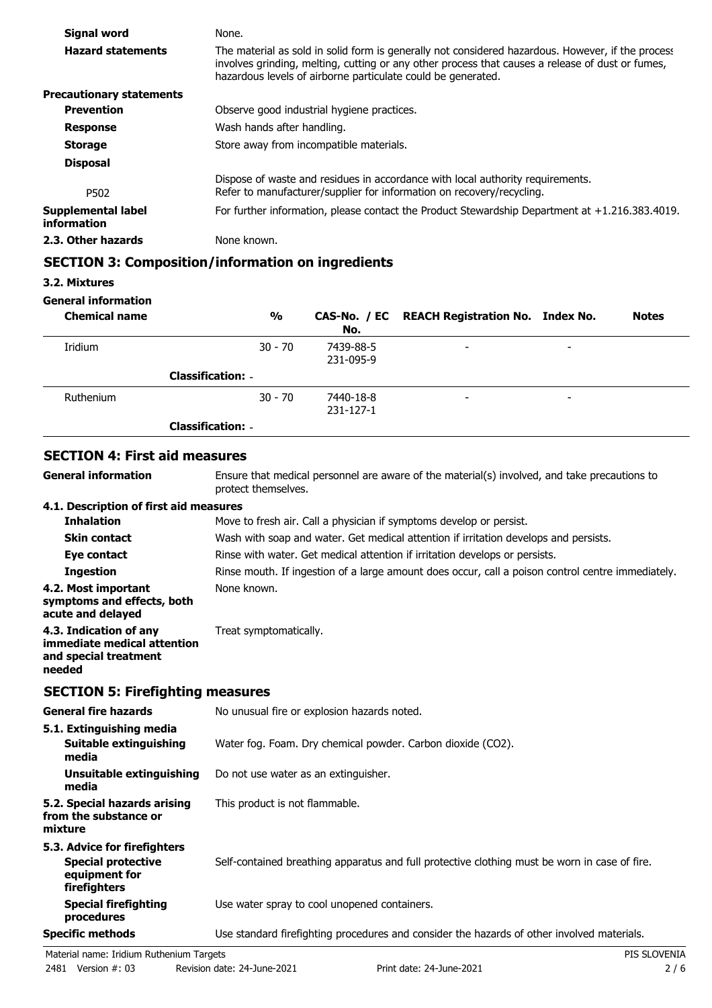| Signal word                       | None.                                                                                                                                                                                                                                                                 |
|-----------------------------------|-----------------------------------------------------------------------------------------------------------------------------------------------------------------------------------------------------------------------------------------------------------------------|
| <b>Hazard statements</b>          | The material as sold in solid form is generally not considered hazardous. However, if the process<br>involves grinding, melting, cutting or any other process that causes a release of dust or fumes,<br>hazardous levels of airborne particulate could be generated. |
| <b>Precautionary statements</b>   |                                                                                                                                                                                                                                                                       |
| <b>Prevention</b>                 | Observe good industrial hygiene practices.                                                                                                                                                                                                                            |
| <b>Response</b>                   | Wash hands after handling.                                                                                                                                                                                                                                            |
| <b>Storage</b>                    | Store away from incompatible materials.                                                                                                                                                                                                                               |
| <b>Disposal</b>                   |                                                                                                                                                                                                                                                                       |
| P502                              | Dispose of waste and residues in accordance with local authority requirements.<br>Refer to manufacturer/supplier for information on recovery/recycling.                                                                                                               |
| Supplemental label<br>information | For further information, please contact the Product Stewardship Department at $+1.216.383.4019$ .                                                                                                                                                                     |
| 2.3. Other hazards                | None known.                                                                                                                                                                                                                                                           |

# **SECTION 3: Composition/information on ingredients**

#### **General information**

| <b>Chemical name</b> | $\frac{0}{0}$            | No.                    | CAS-No. / EC REACH Registration No. Index No. |                          | <b>Notes</b> |
|----------------------|--------------------------|------------------------|-----------------------------------------------|--------------------------|--------------|
| Iridium              | $30 - 70$                | 7439-88-5<br>231-095-9 | $\overline{\phantom{a}}$                      | $\overline{\phantom{a}}$ |              |
|                      | <b>Classification: -</b> |                        |                                               |                          |              |
| Ruthenium            | $30 - 70$                | 7440-18-8<br>231-127-1 | $\overline{\phantom{a}}$                      | $\overline{\phantom{a}}$ |              |
|                      | <b>Classification: -</b> |                        |                                               |                          |              |

#### **SECTION 4: First aid measures**

Ensure that medical personnel are aware of the material(s) involved, and take precautions to protect themselves. **General information 4.1. Description of first aid measures Inhalation** Move to fresh air. Call a physician if symptoms develop or persist. **Skin contact** Wash with soap and water. Get medical attention if irritation develops and persists. **Eye contact** Rinse with water. Get medical attention if irritation develops or persists. **Ingestion** Rinse mouth. If ingestion of a large amount does occur, call a poison control centre immediately. **4.2. Most important** None known. **symptoms and effects, both acute and delayed 4.3. Indication of any** Treat symptomatically. **immediate medical attention**

#### **SECTION 5: Firefighting measures**

**and special treatment**

**needed**

| <b>General fire hazards</b>                                                                | No unusual fire or explosion hazards noted.                                                   |
|--------------------------------------------------------------------------------------------|-----------------------------------------------------------------------------------------------|
| 5.1. Extinguishing media<br>Suitable extinguishing<br>media                                | Water fog. Foam. Dry chemical powder. Carbon dioxide (CO2).                                   |
| Unsuitable extinguishing<br>media                                                          | Do not use water as an extinguisher.                                                          |
| 5.2. Special hazards arising<br>from the substance or<br>mixture                           | This product is not flammable.                                                                |
| 5.3. Advice for firefighters<br><b>Special protective</b><br>equipment for<br>firefighters | Self-contained breathing apparatus and full protective clothing must be worn in case of fire. |
| Special firefighting<br>procedures                                                         | Use water spray to cool unopened containers.                                                  |
| <b>Specific methods</b>                                                                    | Use standard firefighting procedures and consider the hazards of other involved materials.    |

**<sup>3.2.</sup> Mixtures**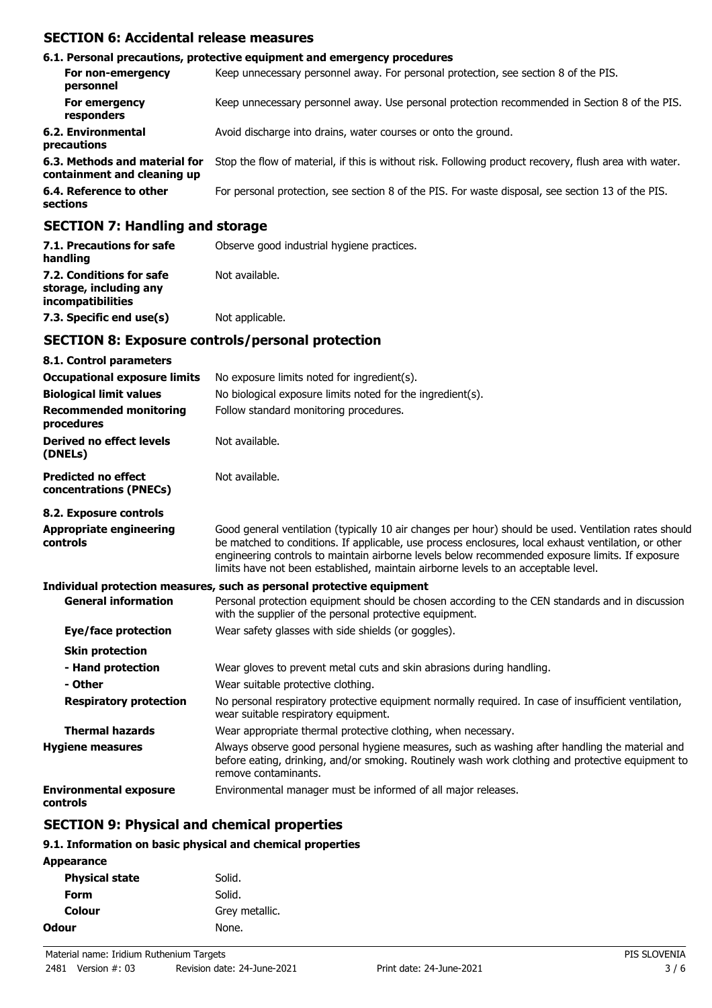# **SECTION 6: Accidental release measures**

|                                                              | 6.1. Personal precautions, protective equipment and emergency procedures                               |
|--------------------------------------------------------------|--------------------------------------------------------------------------------------------------------|
| For non-emergency<br>personnel                               | Keep unnecessary personnel away. For personal protection, see section 8 of the PIS.                    |
| For emergency<br>responders                                  | Keep unnecessary personnel away. Use personal protection recommended in Section 8 of the PIS.          |
| <b>6.2. Environmental</b><br>precautions                     | Avoid discharge into drains, water courses or onto the ground.                                         |
| 6.3. Methods and material for<br>containment and cleaning up | Stop the flow of material, if this is without risk. Following product recovery, flush area with water. |
| 6.4. Reference to other<br>sections                          | For personal protection, see section 8 of the PIS. For waste disposal, see section 13 of the PIS.      |
|                                                              |                                                                                                        |

#### **SECTION 7: Handling and storage**

| 7.1. Precautions for safe<br>handling                                   | Observe good industrial hygiene practices. |
|-------------------------------------------------------------------------|--------------------------------------------|
| 7.2. Conditions for safe<br>storage, including any<br>incompatibilities | Not available.                             |
| 7.3. Specific end use(s)                                                | Not applicable.                            |

### **SECTION 8: Exposure controls/personal protection**

| 8.1. Control parameters                              |                                                                                                                                                                                                                                                                                                                                                                                                        |
|------------------------------------------------------|--------------------------------------------------------------------------------------------------------------------------------------------------------------------------------------------------------------------------------------------------------------------------------------------------------------------------------------------------------------------------------------------------------|
| <b>Occupational exposure limits</b>                  | No exposure limits noted for ingredient(s).                                                                                                                                                                                                                                                                                                                                                            |
| <b>Biological limit values</b>                       | No biological exposure limits noted for the ingredient(s).                                                                                                                                                                                                                                                                                                                                             |
| <b>Recommended monitoring</b><br>procedures          | Follow standard monitoring procedures.                                                                                                                                                                                                                                                                                                                                                                 |
| Derived no effect levels<br>(DNELs)                  | Not available.                                                                                                                                                                                                                                                                                                                                                                                         |
| <b>Predicted no effect</b><br>concentrations (PNECs) | Not available.                                                                                                                                                                                                                                                                                                                                                                                         |
| 8.2. Exposure controls                               |                                                                                                                                                                                                                                                                                                                                                                                                        |
| <b>Appropriate engineering</b><br>controls           | Good general ventilation (typically 10 air changes per hour) should be used. Ventilation rates should<br>be matched to conditions. If applicable, use process enclosures, local exhaust ventilation, or other<br>engineering controls to maintain airborne levels below recommended exposure limits. If exposure<br>limits have not been established, maintain airborne levels to an acceptable level. |
|                                                      | Individual protection measures, such as personal protective equipment                                                                                                                                                                                                                                                                                                                                  |
| <b>General information</b>                           | Personal protection equipment should be chosen according to the CEN standards and in discussion<br>with the supplier of the personal protective equipment.                                                                                                                                                                                                                                             |
| Eye/face protection                                  | Wear safety glasses with side shields (or goggles).                                                                                                                                                                                                                                                                                                                                                    |
| <b>Skin protection</b>                               |                                                                                                                                                                                                                                                                                                                                                                                                        |
| - Hand protection                                    | Wear gloves to prevent metal cuts and skin abrasions during handling.                                                                                                                                                                                                                                                                                                                                  |
| - Other                                              | Wear suitable protective clothing.                                                                                                                                                                                                                                                                                                                                                                     |
| <b>Respiratory protection</b>                        | No personal respiratory protective equipment normally required. In case of insufficient ventilation,<br>wear suitable respiratory equipment.                                                                                                                                                                                                                                                           |
| <b>Thermal hazards</b>                               | Wear appropriate thermal protective clothing, when necessary.                                                                                                                                                                                                                                                                                                                                          |
| <b>Hygiene measures</b>                              | Always observe good personal hygiene measures, such as washing after handling the material and<br>before eating, drinking, and/or smoking. Routinely wash work clothing and protective equipment to<br>remove contaminants.                                                                                                                                                                            |
| <b>Environmental exposure</b><br>controls            | Environmental manager must be informed of all major releases.                                                                                                                                                                                                                                                                                                                                          |

# **SECTION 9: Physical and chemical properties**

#### **9.1. Information on basic physical and chemical properties**

| Appearance            |                |
|-----------------------|----------------|
| <b>Physical state</b> | Solid.         |
| Form                  | Solid.         |
| Colour                | Grey metallic. |
| Odour                 | None.          |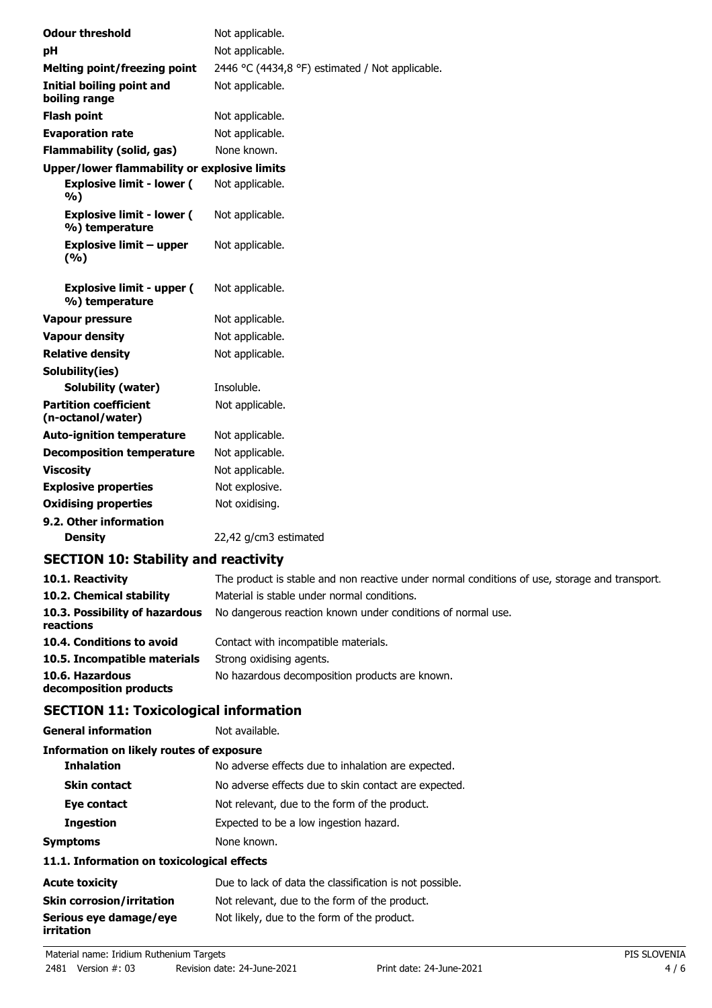| <b>Odour threshold</b>                             | Not applicable.                                 |
|----------------------------------------------------|-------------------------------------------------|
| рH                                                 | Not applicable.                                 |
| <b>Melting point/freezing point</b>                | 2446 °C (4434,8 °F) estimated / Not applicable. |
| Initial boiling point and<br>boiling range         | Not applicable.                                 |
| <b>Flash point</b>                                 | Not applicable.                                 |
| <b>Evaporation rate</b>                            | Not applicable.                                 |
| <b>Flammability (solid, gas)</b>                   | None known.                                     |
| Upper/lower flammability or explosive limits       |                                                 |
| <b>Explosive limit - lower (</b><br>%)             | Not applicable.                                 |
| <b>Explosive limit - lower (</b><br>%) temperature | Not applicable.                                 |
| <b>Explosive limit - upper</b><br>(%)              | Not applicable.                                 |
| <b>Explosive limit - upper (</b><br>%) temperature | Not applicable.                                 |
| <b>Vapour pressure</b>                             | Not applicable.                                 |
| <b>Vapour density</b>                              | Not applicable.                                 |
| <b>Relative density</b>                            | Not applicable.                                 |
| Solubility(ies)                                    |                                                 |
| <b>Solubility (water)</b>                          | Insoluble.                                      |
| <b>Partition coefficient</b><br>(n-octanol/water)  | Not applicable.                                 |
| <b>Auto-ignition temperature</b>                   | Not applicable.                                 |
| <b>Decomposition temperature</b>                   | Not applicable.                                 |
| <b>Viscosity</b>                                   | Not applicable.                                 |
| <b>Explosive properties</b>                        | Not explosive.                                  |
| <b>Oxidising properties</b>                        | Not oxidising.                                  |
| 9.2. Other information                             |                                                 |
| <b>Density</b>                                     | 22,42 g/cm3 estimated                           |

# **SECTION 10: Stability and reactivity**

| 10.1. Reactivity                            | The product is stable and non reactive under normal conditions of use, storage and transport. |
|---------------------------------------------|-----------------------------------------------------------------------------------------------|
| 10.2. Chemical stability                    | Material is stable under normal conditions.                                                   |
| 10.3. Possibility of hazardous<br>reactions | No dangerous reaction known under conditions of normal use.                                   |
| 10.4. Conditions to avoid                   | Contact with incompatible materials.                                                          |
| 10.5. Incompatible materials                | Strong oxidising agents.                                                                      |
| 10.6. Hazardous<br>decomposition products   | No hazardous decomposition products are known.                                                |

# **SECTION 11: Toxicological information**

| General information                             | Not available.                                       |
|-------------------------------------------------|------------------------------------------------------|
| <b>Information on likely routes of exposure</b> |                                                      |
| <b>Inhalation</b>                               | No adverse effects due to inhalation are expected.   |
| <b>Skin contact</b>                             | No adverse effects due to skin contact are expected. |
| Eye contact                                     | Not relevant, due to the form of the product.        |
| <b>Ingestion</b>                                | Expected to be a low ingestion hazard.               |
| Symptoms                                        | None known.                                          |
|                                                 |                                                      |

## **11.1. Information on toxicological effects**

| <b>Acute toxicity</b>                | Due to lack of data the classification is not possible. |
|--------------------------------------|---------------------------------------------------------|
| <b>Skin corrosion/irritation</b>     | Not relevant, due to the form of the product.           |
| Serious eye damage/eye<br>irritation | Not likely, due to the form of the product.             |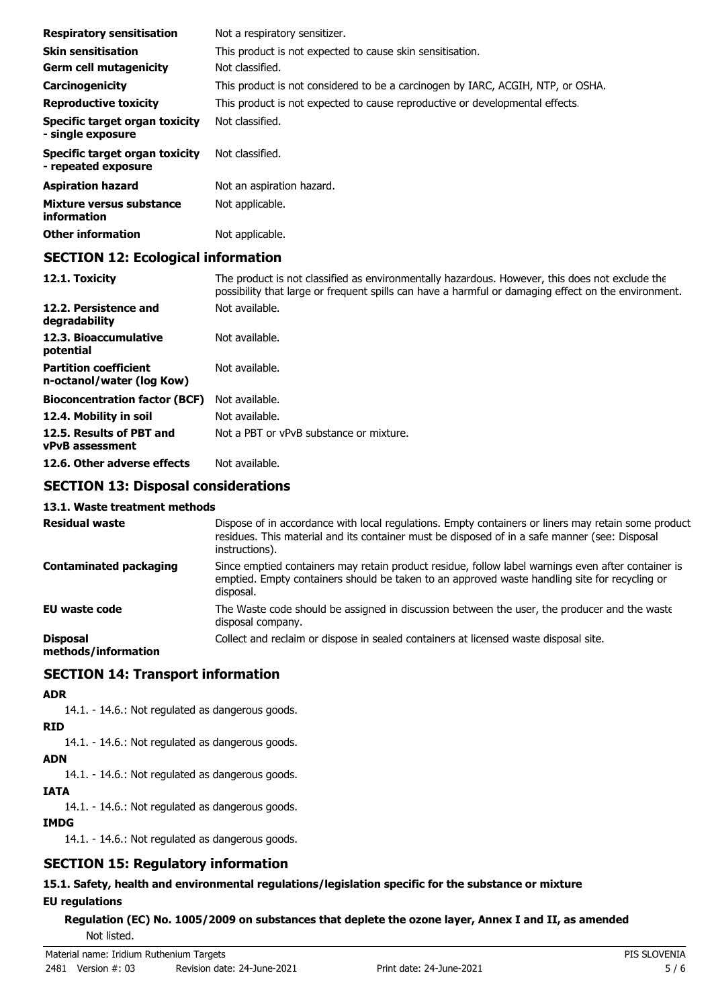| <b>Respiratory sensitisation</b>                      | Not a respiratory sensitizer.                                                   |
|-------------------------------------------------------|---------------------------------------------------------------------------------|
| <b>Skin sensitisation</b>                             | This product is not expected to cause skin sensitisation.                       |
| <b>Germ cell mutagenicity</b>                         | Not classified.                                                                 |
| Carcinogenicity                                       | This product is not considered to be a carcinogen by IARC, ACGIH, NTP, or OSHA. |
| <b>Reproductive toxicity</b>                          | This product is not expected to cause reproductive or developmental effects.    |
| Specific target organ toxicity<br>- single exposure   | Not classified.                                                                 |
| Specific target organ toxicity<br>- repeated exposure | Not classified.                                                                 |
| <b>Aspiration hazard</b>                              | Not an aspiration hazard.                                                       |
| Mixture versus substance<br>information               | Not applicable.                                                                 |
| <b>Other information</b>                              | Not applicable.                                                                 |

### **SECTION 12: Ecological information**

| 12.1. Toxicity                                            | The product is not classified as environmentally hazardous. However, this does not exclude the<br>possibility that large or frequent spills can have a harmful or damaging effect on the environment. |
|-----------------------------------------------------------|-------------------------------------------------------------------------------------------------------------------------------------------------------------------------------------------------------|
| 12.2. Persistence and<br>degradability                    | Not available.                                                                                                                                                                                        |
| 12.3. Bioaccumulative<br>potential                        | Not available.                                                                                                                                                                                        |
| <b>Partition coefficient</b><br>n-octanol/water (log Kow) | Not available.                                                                                                                                                                                        |
| <b>Bioconcentration factor (BCF)</b>                      | Not available.                                                                                                                                                                                        |
| 12.4. Mobility in soil                                    | Not available.                                                                                                                                                                                        |
| 12.5. Results of PBT and<br><b>vPvB</b> assessment        | Not a PBT or vPvB substance or mixture.                                                                                                                                                               |
| 12.6. Other adverse effects                               | Not available.                                                                                                                                                                                        |
| CECTION 12: Disposal considerations                       |                                                                                                                                                                                                       |

#### **SECTION 13: Disposal considerations**

#### **13.1. Waste treatment methods**

| <b>Residual waste</b>                  | Dispose of in accordance with local regulations. Empty containers or liners may retain some product<br>residues. This material and its container must be disposed of in a safe manner (see: Disposal<br>instructions). |
|----------------------------------------|------------------------------------------------------------------------------------------------------------------------------------------------------------------------------------------------------------------------|
| <b>Contaminated packaging</b>          | Since emptied containers may retain product residue, follow label warnings even after container is<br>emptied. Empty containers should be taken to an approved waste handling site for recycling or<br>disposal.       |
| <b>EU waste code</b>                   | The Waste code should be assigned in discussion between the user, the producer and the waste<br>disposal company.                                                                                                      |
| <b>Disposal</b><br>mothode/information | Collect and reclaim or dispose in sealed containers at licensed waste disposal site.                                                                                                                                   |

**methods/information**

## **SECTION 14: Transport information**

#### **ADR**

14.1. - 14.6.: Not regulated as dangerous goods.

# **RID**

14.1. - 14.6.: Not regulated as dangerous goods.

# **ADN**

14.1. - 14.6.: Not regulated as dangerous goods.

# **IATA**

14.1. - 14.6.: Not regulated as dangerous goods.

#### **IMDG**

14.1. - 14.6.: Not regulated as dangerous goods.

# **SECTION 15: Regulatory information**

# **15.1. Safety, health and environmental regulations/legislation specific for the substance or mixture**

## **EU regulations**

**Regulation (EC) No. 1005/2009 on substances that deplete the ozone layer, Annex I and II, as amended** Not listed.